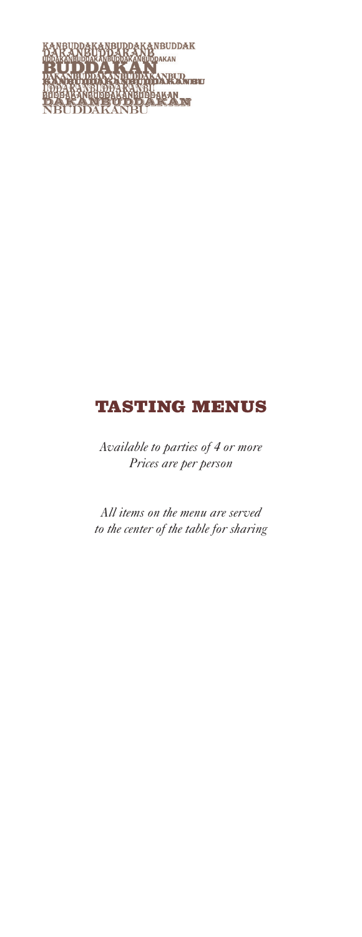

## **TASTING MENUS**

*Available to parties of 4 or more Prices are per person*

*All items on the menu are served to the center of the table for sharing*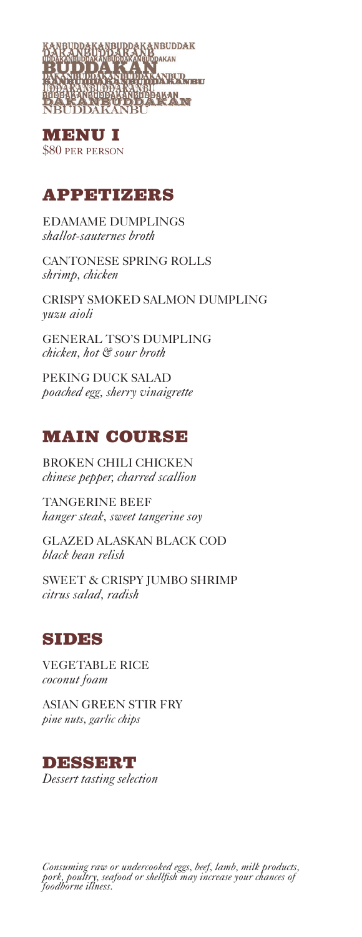

**MENU I** 

\$80 PER PERSON

#### **APPETIZERS**

**EDAMAME DUMPLINGS** shallot-sauternes broth

**CANTONESE SPRING ROLLS** shrimp, chicken

CRISPY SMOKED SALMON DUMPLING yuzu aioli

**GENERAL TSO'S DUMPLING** chicken, hot & sour broth

PEKING DUCK SALAD poached egg, sherry vinaigrette

## **MAIN COURSE**

**BROKEN CHILI CHICKEN** chinese pepper, charred scallion

**TANGERINE BEEF** hanger steak, sweet tangerine soy

**GLAZED ALASKAN BLACK COD** black bean relish

SWEET & CRISPY JUMBO SHRIMP citrus salad, radish

#### **SIDES**

**VEGETABLE RICE** coconut foam

**ASIAN GREEN STIR FRY** pine nuts, garlic chips

#### **DESSERT**

Dessert tasting selection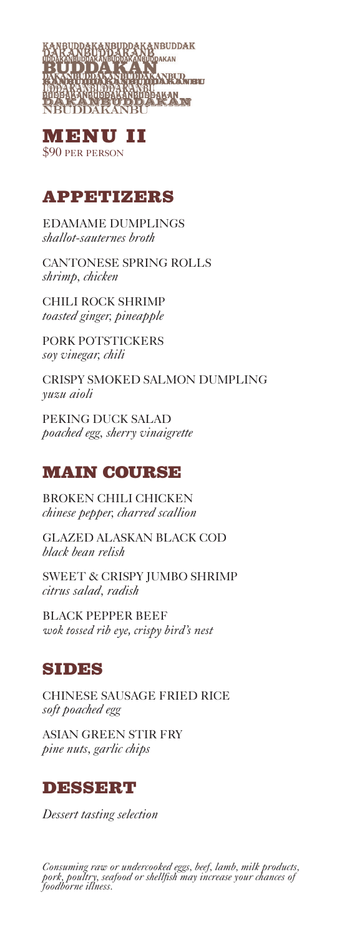

# **MENU II**

\$90 per person

#### **APPETIZERS**

EDAMAME DUMPLINGS *shallot-sauternes broth*

CANTONESE SPRING ROLLS *shrimp, chicken*

CHILI ROCK SHRIMP *toasted ginger, pineapple*

PORK POTSTICKERS *soy vinegar, chili*

CRISPY SMOKED SALMON DUMPLING *yuzu aioli*

PEKING DUCK SALAD *poached egg, sherry vinaigrette*

## **MAIN COURSE**

BROKEN CHILI CHICKEN *chinese pepper, charred scallion*

GLAZED ALASKAN BLACK COD *black bean relish*

SWEET & CRISPY JUMBO SHRIMP *citrus salad, radish*

BLACK PEPPER BEEF *wok tossed rib eye, crispy bird's nest*

## **SIDES**

CHINESE SAUSAGE FRIED RICE *soft poached egg*

ASIAN GREEN STIR FRY *pine nuts, garlic chips*

#### **DESSERT**

*Dessert tasting selection*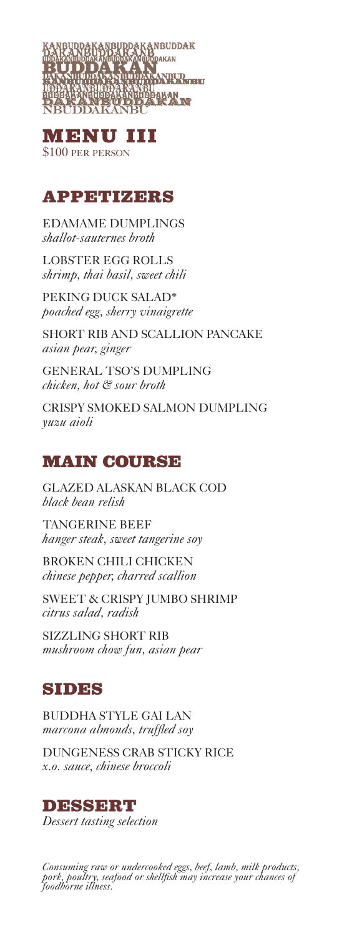

**MENU III**

\$100 per person

## **APPETIZERS**

EDAMAME DUMPLINGS *shallot-sauternes broth*

LOBSTER EGG ROLLS *shrimp, thai basil, sweet chili*

PEKING DUCK SALAD\* *poached egg, sherry vinaigrette*

SHORT RIB AND SCALLION PANCAKE *asian pear, ginger*

GENERAL TSO'S DUMPLING *chicken, hot & sour broth*

CRISPY SMOKED SALMON DUMPLING *yuzu aioli*

#### **MAIN COURSE**

GLAZED ALASKAN BLACK COD *black bean relish*

TANGERINE BEEF *hanger steak, sweet tangerine soy*

BROKEN CHILI CHICKEN *chinese pepper, charred scallion*

SWEET & CRISPY JUMBO SHRIMP *citrus salad, radish*

SIZZLING SHORT RIB *mushroom chow fun, asian pear*

## **SIDES**

BUDDHA STYLE GAI LAN *marcona almonds, truffled soy*

DUNGENESS CRAB STICKY RICE *x.o. sauce, chinese broccoli*

#### **DESSERT**

*Dessert tasting selection*